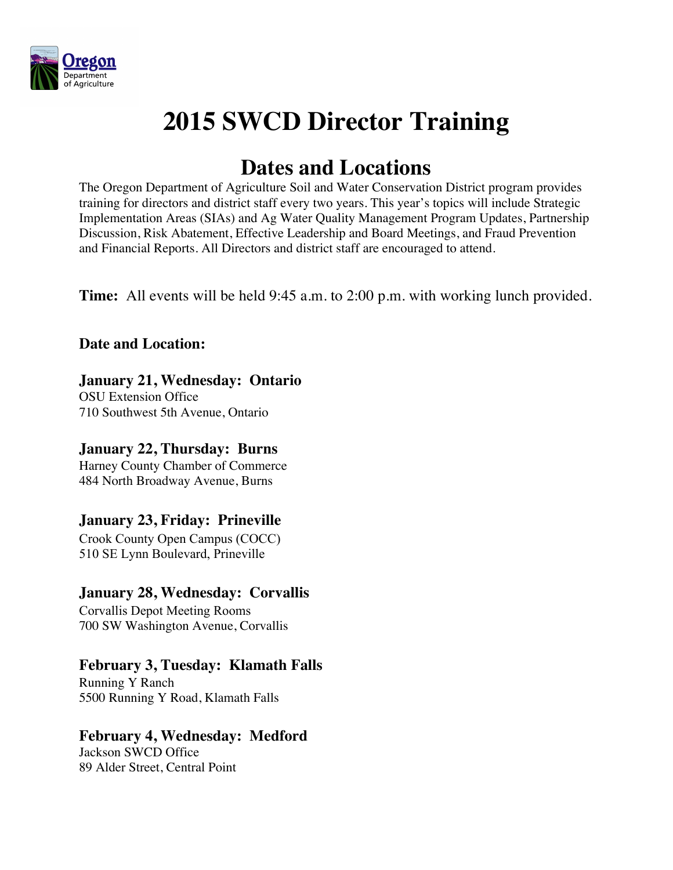

# **2015 SWCD Director Training**

# **Dates and Locations**

The Oregon Department of Agriculture Soil and Water Conservation District program provides training for directors and district staff every two years. This year's topics will include Strategic Implementation Areas (SIAs) and Ag Water Quality Management Program Updates, Partnership Discussion, Risk Abatement, Effective Leadership and Board Meetings, and Fraud Prevention and Financial Reports. All Directors and district staff are encouraged to attend.

**Time:** All events will be held 9:45 a.m. to 2:00 p.m. with working lunch provided.

# **Date and Location:**

# **January 21, Wednesday: Ontario**

OSU Extension Office 710 Southwest 5th Avenue, Ontario

# **January 22, Thursday: Burns**

Harney County Chamber of Commerce 484 North Broadway Avenue, Burns

# **January 23, Friday: Prineville**

Crook County Open Campus (COCC) 510 SE Lynn Boulevard, Prineville

#### **January 28, Wednesday: Corvallis**

Corvallis Depot Meeting Rooms 700 SW Washington Avenue, Corvallis

#### **February 3, Tuesday: Klamath Falls**

Running Y Ranch 5500 Running Y Road, Klamath Falls

#### **February 4, Wednesday: Medford**

Jackson SWCD Office 89 Alder Street, Central Point